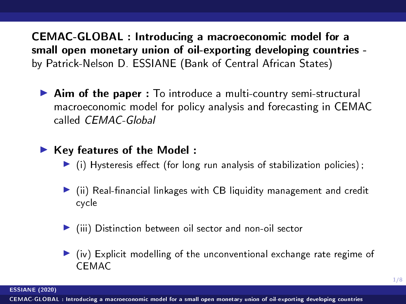<span id="page-0-0"></span>CEMAC-GLOBAL : Introducing a macroeconomic model for a small open monetary union of oil-exporting developing countries by Patrick-Nelson D. ESSIANE (Bank of Central African States)

 $\triangleright$  Aim of the paper : To introduce a multi-country semi-structural macroeconomic model for policy analysis and forecasting in CEMAC called CEMAC-Global

### $\blacktriangleright$  Key features of the Model :

- $\blacktriangleright$  (i) Hysteresis effect (for long run analysis of stabilization policies);
- $\blacktriangleright$  (ii) Real-financial linkages with CB liquidity management and credit cycle
- $\blacktriangleright$  (iii) Distinction between oil sector and non-oil sector
- $\triangleright$  (iv) Explicit modelling of the unconventional exchange rate regime of CEMAC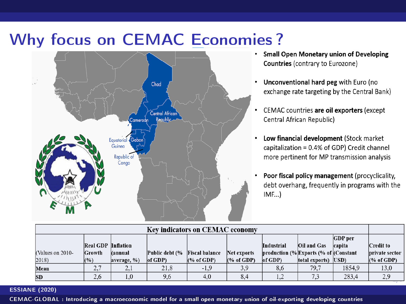# Why focus on CEMAC Economies ?<br>
Small Open Monetary union of Developing



- Countries (contrary to Eurozone)
- . Unconventional hard peg with Euro (no exchange rate targeting by the Central Bank)
- $\bullet$ CEMAC countries are oil exporters (except Central African Republic)
- Low financial development (Stock market capitalization = 0.4% of GDP) Credit channel more pertinent for MP transmission analysis
- Poor fiscal policy management (procyclicality, debt overhang, frequently in programs with the  $IMF...$

| <b>Kev indicators on CEMAC economy</b> |                           |                |                |                       |             |                                      |                     |                |                       |
|----------------------------------------|---------------------------|----------------|----------------|-----------------------|-------------|--------------------------------------|---------------------|----------------|-----------------------|
|                                        |                           |                |                |                       |             |                                      |                     | <b>GDP</b> per |                       |
|                                        | <b>Real GDP</b> Inflation |                |                |                       |             | <b>Industrial</b>                    | Oil and Gas         | capita         | Credit to             |
| (Values on 2010-                       | Growth                    | <b>Cannual</b> | Public debt (% | <b>Fiscal balance</b> | Net exports | production (%Exports (% of Constant) |                     |                | <b>private sector</b> |
| 2018)                                  | (%)                       | average, %)    | of GDP)        | (% of GDP)            | (% of GDP)  | $ of GDP\rangle$                     | total exports) USD) |                | $(\%$ of GDP)         |
| Mean                                   | z.                        | 2,1            | 21.8           | $-1.9$                | 3,9         | 8.6                                  | 79.7                | 1854.9         | 13.0                  |
| <b>SD</b>                              | 2.6                       |                | 9.6            | 4.0                   | 8.4         | 1.2                                  | 7.3                 | 283.4          | 2.9                   |

#### ESSIANE (2020)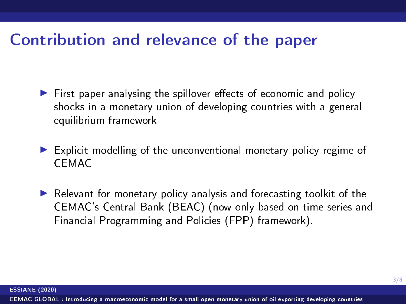### Contribution and relevance of the paper

- $\blacktriangleright$  First paper analysing the spillover effects of economic and policy shocks in a monetary union of developing countries with a general equilibrium framework
- $\blacktriangleright$  Explicit modelling of the unconventional monetary policy regime of CEMAC
- $\blacktriangleright$  Relevant for monetary policy analysis and forecasting toolkit of the CEMAC's Central Bank (BEAC) (now only based on time series and Financial Programming and Policies (FPP) framework).

ESSIANE (2020)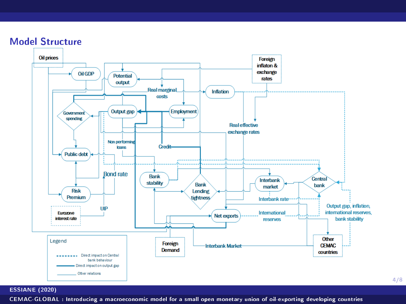



#### ESSIANE (2020)

[CEMAC-GLOBAL : Introducing a macroeconomic model for a small open monetary union of oil-exporting developing countries](#page-0-0)

4/8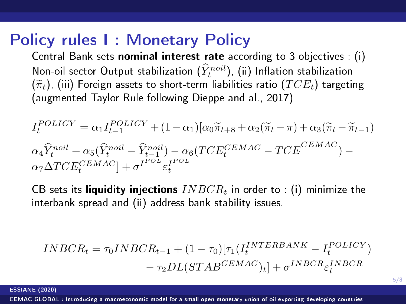### Policy rules I : Monetary Policy

Central Bank sets nominal interest rate according to 3 objectives : (i) Non-oil sector Output stabilization  $(\hat{Y}_t^{noil})$ , (ii) Inflation stabilization  $(\widetilde{\pi}_t)$ , (iii) Foreign assets to short-term liabilities ratio ( $TCE_t$ ) targeting (augmented Taylor Rule following Dieppe and al., 2017)

$$
I_t^{POLICY} = \alpha_1 I_{t-1}^{POLICY} + (1 - \alpha_1) [\alpha_0 \widetilde{\pi}_{t+8} + \alpha_2 (\widetilde{\pi}_t - \overline{\pi}) + \alpha_3 (\widetilde{\pi}_t - \widetilde{\pi}_{t-1})
$$
  
\n
$$
\alpha_4 \widehat{Y}_t^{noil} + \alpha_5 (\widehat{Y}_t^{noil} - \widehat{Y}_{t-1}^{noil}) - \alpha_6 (TCE_t^{CEMAC} - \overline{TCE}^{CEMAC}) - \alpha_7 \Delta TCE_t^{CEMAC}] + \sigma^{POL} \varepsilon_t^{POL}
$$

CB sets its liquidity injections  $INBCR<sub>t</sub>$  in order to : (i) minimize the interbank spread and (ii) address bank stability issues.

$$
INBCR_t = \tau_0 INBCR_{t-1} + (1 - \tau_0)[\tau_1(I_t^{INTERBANK} - I_t^{POLICY})
$$

$$
- \tau_2 DL(STAB^{CEMAC})_t] + \sigma^{INBCR} \varepsilon_t^{INBCR}
$$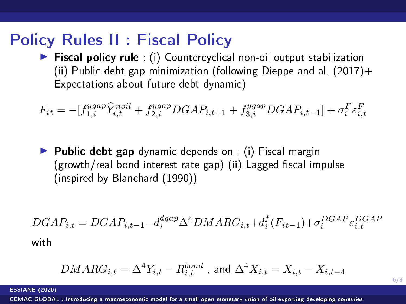### Policy Rules II : Fiscal Policy

 $\triangleright$  Fiscal policy rule : (i) Countercyclical non-oil output stabilization (ii) Public debt gap minimization (following Dieppe and al.  $(2017) +$ Expectations about future debt dynamic)

$$
F_{it} = -[f_{1,i}^{ygap} \hat{Y}_{i,t}^{noil} + f_{2,i}^{ygap} DGAP_{i,t+1} + f_{3,i}^{ygap} DGAP_{i,t-1}] + \sigma_i^F \varepsilon_{i,t}^F
$$

 $\blacktriangleright$  Public debt gap dynamic depends on : (i) Fiscal margin  $(growth/real bond interest rate gap)$  (ii) Lagged fiscal impulse (inspired by Blanchard (1990))

$$
DGAP_{i,t} = DGAP_{i,t-1} - d_i^{dgap} \Delta^4 DMARG_{i,t} + d_i^f(F_{it-1}) + \sigma_i^{DGAP} \varepsilon_{i,t}^{DGAP}
$$
 with

$$
DMARG_{i,t}=\Delta^4Y_{i,t}-R^{bond}_{i,t}
$$
 , and  $\Delta^4X_{i,t}=X_{i,t}-X_{i,t-4}$ 

6/8

#### ESSIANE (2020)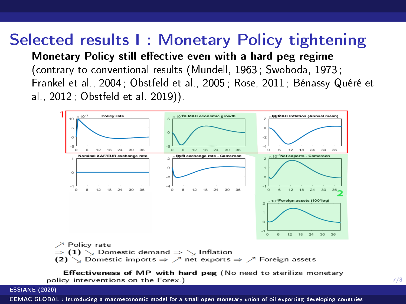### Selected results I : Monetary Policy tightening Monetary Policy still effective even with a hard peg regime (contrary to conventional results (Mundell, 1963 ; Swoboda, 1973 ; Frankel et al., 2004 ; Obstfeld et al., 2005 ; Rose, 2011 ; Bénassy-Quéré et al., 2012 ; Obstfeld et al. 2019)).



 $\Rightarrow$  (1)  $\searrow$  Domestic demand  $\Rightarrow \searrow$  Inflation (2)  $\searrow$  Domestic imports  $\Rightarrow \nearrow$  net exports  $\Rightarrow \nearrow$  Foreign assets

Effectiveness of MP with hard peg (No need to sterilize monetary policy interventions on the Forex.)

7/8

#### ESSIANE (2020)